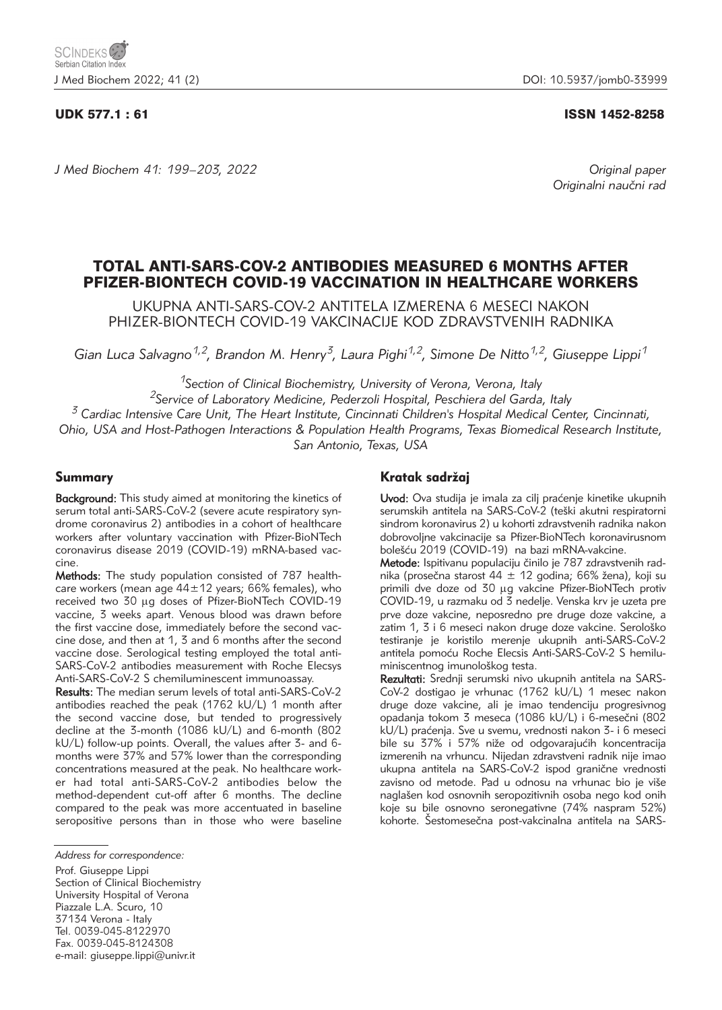### UDK 577.1 : 61 ISSN 1452-8258

*J Med Biochem 41: 199–203, 2022 Original paper*

Originalni naučni rad

# TOTAL ANTI-SARS-COV-2 ANTIBODIES MEASURED 6 MONTHS AFTER PFIZER-BIONTECH COVID-19 VACCINATION IN HEALTHCARE WORKERS

UKUPNA ANTI-SARS-COV-2 ANTITELA IZMERENA 6 MESECI NAKON PHIZER-BIONTECH COVID-19 VAKCINACIJE KOD ZDRAVSTVENIH RADNIKA

*Gian Luca Salvagno1,2, Brandon M. Henry3, Laura Pighi1,2, Simone De Nitto1,2, Giuseppe Lippi1*

*1Section of Clinical Biochemistry, University of Verona, Verona, Italy*

*2Service of Laboratory Medicine, Pederzoli Hospital, Peschiera del Garda, Italy <sup>3</sup> Cardiac Intensive Care Unit, The Heart Institute, Cincinnati Children's Hospital Medical Center, Cincinnati,*

*Ohio, USA and Host-Pathogen Interactions & Population Health Programs, Texas Biomedical Research Institute, San Antonio, Texas, USA*

### Summary

Background: This study aimed at monitoring the kinetics of serum total anti-SARS-CoV-2 (severe acute respiratory syndrome coronavirus 2) antibodies in a cohort of healthcare workers after voluntary vaccination with Pfizer-BioNTech coronavirus disease 2019 (COVID-19) mRNA-based vaccine.

Methods: The study population consisted of 787 healthcare workers (mean age  $44\pm12$  years; 66% females), who received two 30 µg doses of Pfizer-BioNTech COVID-19 vaccine, 3 weeks apart. Venous blood was drawn before the first vaccine dose, immediately before the second vaccine dose, and then at 1, 3 and 6 months after the second vaccine dose. Serological testing employed the total anti-SARS-CoV-2 antibodies measurement with Roche Elecsys Anti-SARS-CoV-2 S chemiluminescent immunoassay.

Results: The median serum levels of total anti-SARS-CoV-2 antibodies reached the peak (1762 kU/L) 1 month after the second vaccine dose, but tended to progressively decline at the 3-month (1086 kU/L) and 6-month (802 kU/L) follow-up points. Overall, the values after 3- and 6 months were 37% and 57% lower than the corresponding concentrations measured at the peak. No healthcare worker had total anti-SARS-CoV-2 antibodies below the method-dependent cut-off after 6 months. The decline compared to the peak was more accentuated in baseline seropositive persons than in those who were baseline

Prof. Giuseppe Lippi Section of Clinical Biochemistry University Hospital of Verona Piazzale L.A. Scuro, 10 37134 Verona - Italy Tel. 0039-045-8122970 Fax. 0039-045-8124308 e-mail: giuseppe.lippi@univr.it

### Kratak sadržaj

Uvod: Ova studija je imala za cilj praćenje kinetike ukupnih serumskih antitela na SARS-CoV-2 (teški akutni respiratorni sindrom koronavirus 2) u kohorti zdravstvenih radnika nakon dobrovoljne vakcinacije sa Pfizer-BioNTech koronavirusnom bolešću 2019 (COVID-19) na bazi mRNA-vakcine.

Metode: Ispitivanu populaciju činilo je 787 zdravstvenih radnika (prosečna starost 44  $\pm$  12 godina; 66% žena), koji su primili dve doze od 30 µg vakcine Pfizer-BioNTech protiv COVID-19, u razmaku od 3 nedelje. Venska krv je uzeta pre prve doze vakcine, neposredno pre druge doze vakcine, a zatim 1, 3 i 6 meseci nakon druge doze vakcine. Serološko testiranje je koristilo merenje ukupnih anti-SARS-CoV-2 antitela pomoću Roche Elecsis Anti-SARS-CoV-2 S hemiluminiscentnog imunološkog testa.

Rezultati: Srednji serumski nivo ukupnih antitela na SARS-CoV-2 dostigao je vrhunac (1762 kU/L) 1 mesec nakon druge doze vakcine, ali je imao tendenciju progresivnog opadanja tokom 3 meseca (1086 kU/L) i 6-mesečni (802 kU/L) praćenja. Sve u svemu, vrednosti nakon 3- i 6 meseci bile su 37% i 57% niže od odgovarajućih koncentracija izmerenih na vrhuncu. Nijedan zdravstveni radnik nije imao ukupna antitela na SARS-CoV-2 ispod granične vrednosti zavisno od metode. Pad u odnosu na vrhunac bio je više naglašen kod osnovnih seropozitivnih osoba nego kod onih koje su bile osnovno seronegativne (74% naspram 52%) kohorte. Sestomesečna post-vakcinalna antitela na SARS-

*Address for correspondence:*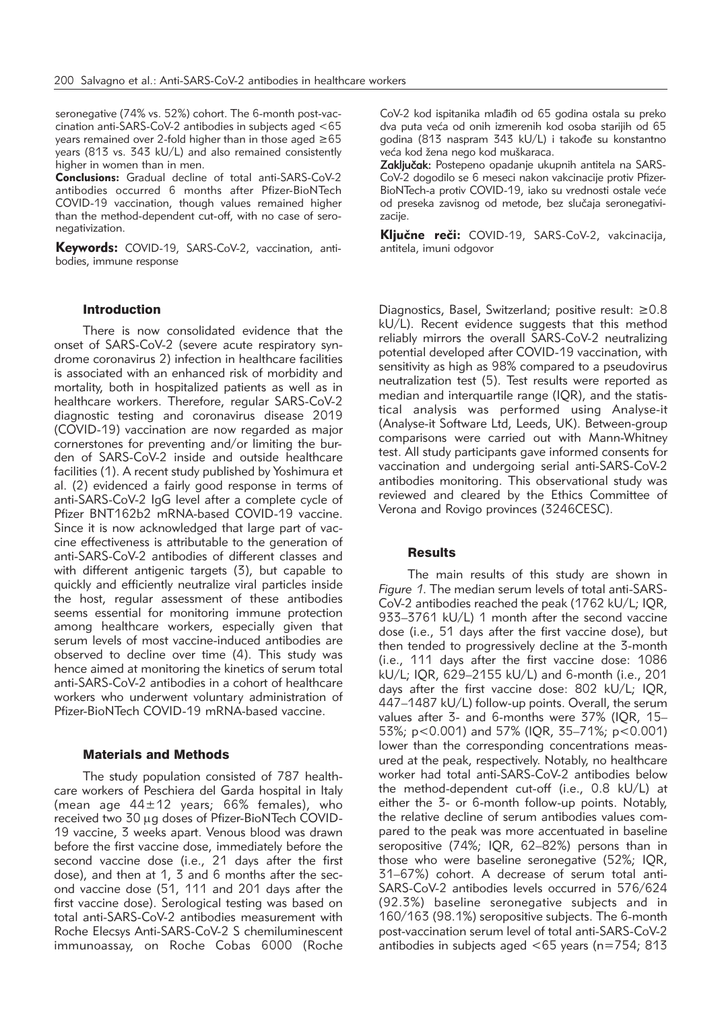seronegative (74% vs. 52%) cohort. The 6-month post-vaccination anti-SARS-CoV-2 antibodies in subjects aged <65 years remained over 2-fold higher than in those aged ≥65 years (813 vs. 343 kU/L) and also remained consistently higher in women than in men.

**Conclusions:** Gradual decline of total anti-SARS-CoV-2 antibodies occurred 6 months after Pfizer-BioNTech COVID-19 vaccination, though values remained higher than the method-dependent cut-off, with no case of seronegativization.

Keywords: COVID-19, SARS-CoV-2, vaccination, antibodies, immune response

### Introduction

There is now consolidated evidence that the onset of SARS-CoV-2 (severe acute respiratory syndrome coronavirus 2) infection in healthcare facilities is associated with an enhanced risk of morbidity and mortality, both in hospitalized patients as well as in healthcare workers. Therefore, regular SARS-CoV-2 diagnostic testing and coronavirus disease 2019 (COVID-19) vaccination are now regarded as major cornerstones for preventing and/or limiting the burden of SARS-CoV-2 inside and outside healthcare facilities (1). A recent study published by Yoshimura et al. (2) evidenced a fairly good response in terms of anti-SARS-CoV-2 IgG level after a complete cycle of Pfizer BNT162b2 mRNA-based COVID-19 vaccine. Since it is now acknowledged that large part of vaccine effectiveness is attributable to the generation of anti-SARS-CoV-2 antibodies of different classes and with different antigenic targets (3), but capable to quickly and efficiently neutralize viral particles inside the host, regular assessment of these antibodies seems essential for monitoring immune protection among healthcare workers, especially given that serum levels of most vaccine-induced antibodies are observed to decline over time (4). This study was hence aimed at monitoring the kinetics of serum total anti-SARS-CoV-2 antibodies in a cohort of healthcare workers who underwent voluntary administration of Pfizer-BioNTech COVID-19 mRNA-based vaccine.

### Materials and Methods

The study population consisted of 787 healthcare workers of Peschiera del Garda hospital in Italy (mean age  $44\pm12$  years; 66% females), who received two 30 µg doses of Pfizer-BioNTech COVID-19 vaccine, 3 weeks apart. Venous blood was drawn before the first vaccine dose, immediately before the second vaccine dose (i.e., 21 days after the first dose), and then at 1, 3 and 6 months after the second vaccine dose (51, 111 and 201 days after the first vaccine dose). Serological testing was based on total anti-SARS-CoV-2 antibodies measurement with Roche Elecsys Anti-SARS-CoV-2 S chemiluminescent immunoassay, on Roche Cobas 6000 (Roche

CoV-2 kod ispitanika mlađih od 65 godina ostala su preko dva puta veća od onih izmerenih kod osoba starijih od 65 godina (813 naspram 343 kU/L) i takođe su konstantno veća kod žena nego kod muškaraca.

Zaključak: Postepeno opadanje ukupnih antitela na SARS-CoV-2 dogodilo se 6 meseci nakon vakcinacije protiv Pfizer-BioNTech-a protiv COVID-19, iako su vrednosti ostale veće od preseka zavisnog od metode, bez slučaja seronegativizacije.

Ključne reči: COVID-19, SARS-CoV-2, vakcinacija, antitela, imuni odgovor

Diagnostics, Basel, Switzerland; positive result: ≥0.8 kU/L). Recent evidence suggests that this method reliably mirrors the overall SARS-CoV-2 neutralizing potential developed after COVID-19 vaccination, with sensitivity as high as 98% compared to a pseudovirus neutralization test (5). Test results were reported as median and interquartile range (IQR), and the statistical analysis was performed using Analyse-it (Analyse-it Software Ltd, Leeds, UK). Between-group comparisons were carried out with Mann-Whitney test. All study participants gave informed consents for vaccination and undergoing serial anti-SARS-CoV-2 antibodies monitoring. This observational study was reviewed and cleared by the Ethics Committee of Verona and Rovigo provinces (3246CESC).

### Results

The main results of this study are shown in *Figure 1*. The median serum levels of total anti-SARS-CoV-2 antibodies reached the peak (1762 kU/L; IQR, 933–3761 kU/L) 1 month after the second vaccine dose (i.e., 51 days after the first vaccine dose), but then tended to progressively decline at the 3-month (i.e., 111 days after the first vaccine dose: 1086 kU/L; IQR, 629–2155 kU/L) and 6-month (i.e., 201 days after the first vaccine dose: 802 kU/L; IQR, 447–1487 kU/L) follow-up points. Overall, the serum values after 3- and 6-months were 37% (IQR, 15– 53%; p<0.001) and 57% (IQR, 35–71%; p<0.001) lower than the corresponding concentrations measured at the peak, respectively. Notably, no healthcare worker had total anti-SARS-CoV-2 antibodies below the method-dependent cut-off (i.e., 0.8 kU/L) at either the 3- or 6-month follow-up points. Notably, the relative decline of serum antibodies values compared to the peak was more accentuated in baseline seropositive (74%; IQR, 62–82%) persons than in those who were baseline seronegative (52%; IQR, 31–67%) cohort. A decrease of serum total anti-SARS-CoV-2 antibodies levels occurred in 576/624 (92.3%) baseline seronegative subjects and in 160/163 (98.1%) seropositive subjects. The 6-month post-vaccination serum level of total anti-SARS-CoV-2 antibodies in subjects aged <65 years (n=754; 813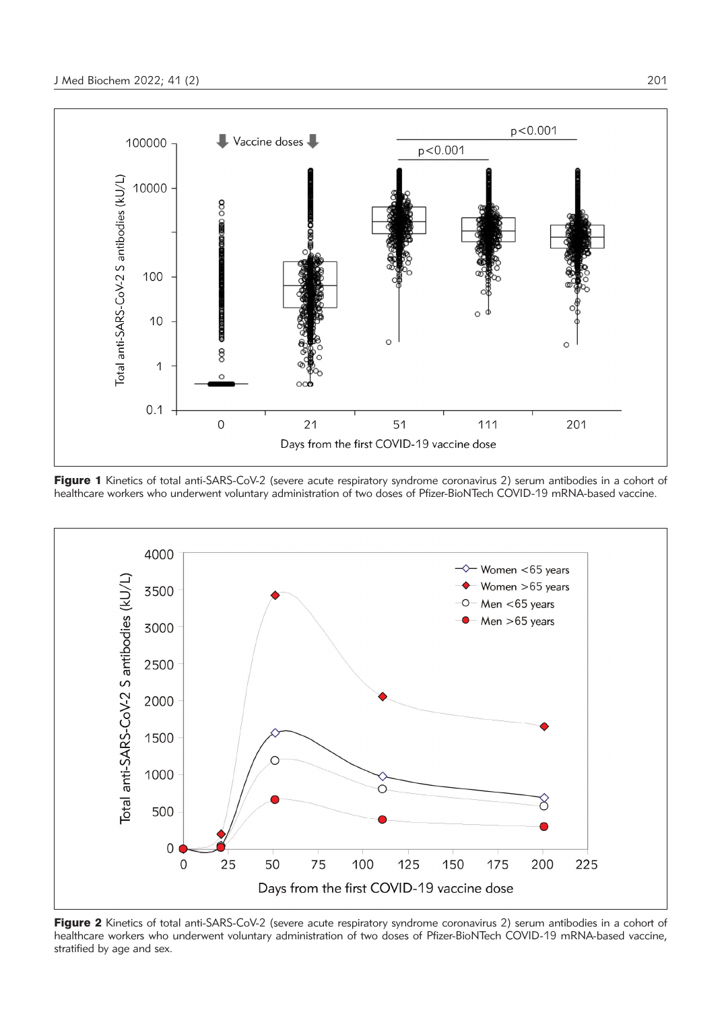

Figure 1 Kinetics of total anti-SARS-CoV-2 (severe acute respiratory syndrome coronavirus 2) serum antibodies in a cohort of healthcare workers who underwent voluntary administration of two doses of Pfizer-BioNTech COVID-19 mRNA-based vaccine.



Figure 2 Kinetics of total anti-SARS-CoV-2 (severe acute respiratory syndrome coronavirus 2) serum antibodies in a cohort of healthcare workers who underwent voluntary administration of two doses of Pfizer-BioNTech COVID-19 mRNA-based vaccine, stratified by age and sex.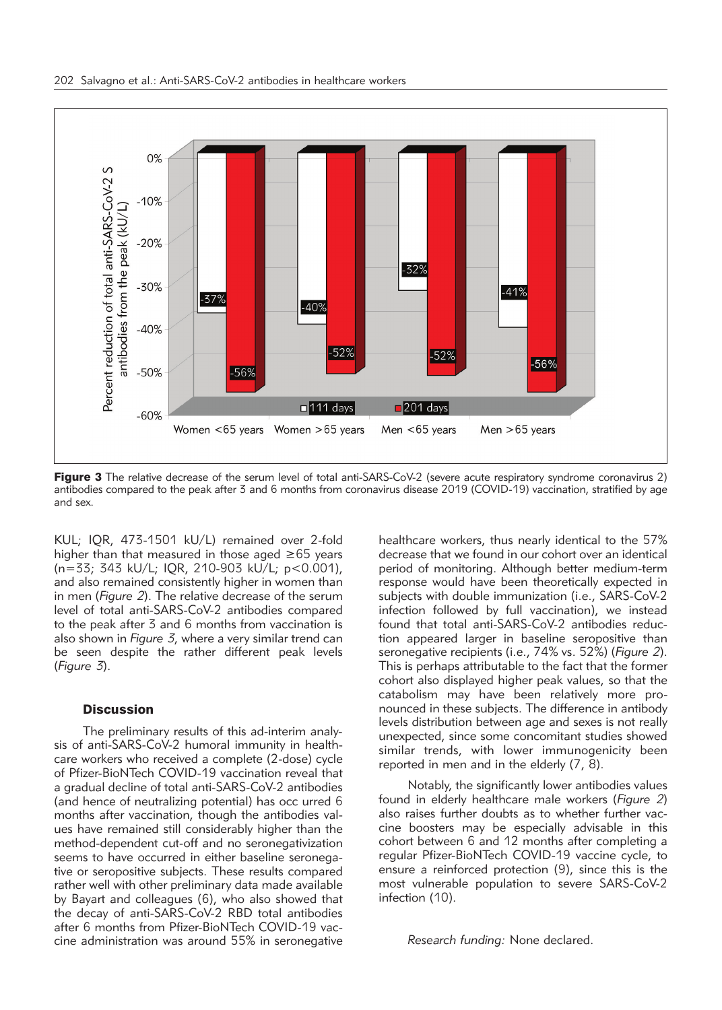

Figure 3 The relative decrease of the serum level of total anti-SARS-CoV-2 (severe acute respiratory syndrome coronavirus 2) antibodies compared to the peak after 3 and 6 months from coronavirus disease 2019 (COVID-19) vaccination, stratified by age and sex.

KUL; IQR, 473-1501 kU/L) remained over 2-fold higher than that measured in those aged  $\geq 65$  years (n=33; 343 kU/L; IQR, 210-903 kU/L; p<0.001), and also remained consistently higher in women than in men (*Figure 2*). The relative decrease of the serum level of total anti-SARS-CoV-2 antibodies compared to the peak after 3 and 6 months from vaccination is also shown in *Figure 3*, where a very similar trend can be seen despite the rather different peak levels (*Figure 3*).

#### **Discussion**

The preliminary results of this ad-interim analysis of anti-SARS-CoV-2 humoral immunity in healthcare workers who received a complete (2-dose) cycle of Pfizer-BioNTech COVID-19 vaccination reveal that a gradual decline of total anti-SARS-CoV-2 antibodies (and hence of neutralizing potential) has occ urred 6 months after vaccination, though the antibodies values have remained still considerably higher than the method-dependent cut-off and no seronegativization seems to have occurred in either baseline seronegative or seropositive subjects. These results compared rather well with other preliminary data made available by Bayart and colleagues (6), who also showed that the decay of anti-SARS-CoV-2 RBD total antibodies after 6 months from Pfizer-BioNTech COVID-19 vaccine administration was around 55% in seronegative

healthcare workers, thus nearly identical to the 57% decrease that we found in our cohort over an identical period of monitoring. Although better medium-term response would have been theoretically expected in subjects with double immunization (i.e., SARS-CoV-2 infection followed by full vaccination), we instead found that total anti-SARS-CoV-2 antibodies reduction appeared larger in baseline seropositive than seronegative recipients (i.e., 74% vs. 52%) (*Figure 2*). This is perhaps attributable to the fact that the former cohort also displayed higher peak values, so that the catabolism may have been relatively more pronounced in these subjects. The difference in antibody levels distribution between age and sexes is not really unexpected, since some concomitant studies showed similar trends, with lower immunogenicity been reported in men and in the elderly (7, 8).

Notably, the significantly lower antibodies values found in elderly healthcare male workers (*Figure 2*) also raises further doubts as to whether further vaccine boosters may be especially advisable in this cohort between 6 and 12 months after completing a regular Pfizer-BioNTech COVID-19 vaccine cycle, to ensure a reinforced protection (9), since this is the most vulnerable population to severe SARS-CoV-2 infection (10).

*Research funding:* None declared.